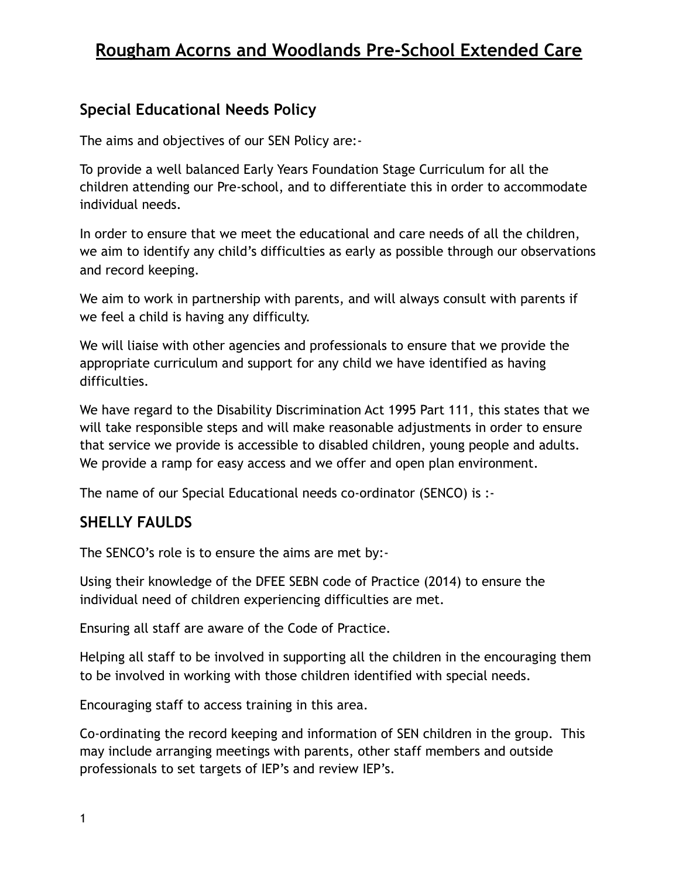### **Special Educational Needs Policy**

The aims and objectives of our SEN Policy are:-

To provide a well balanced Early Years Foundation Stage Curriculum for all the children attending our Pre-school, and to differentiate this in order to accommodate individual needs.

In order to ensure that we meet the educational and care needs of all the children, we aim to identify any child's difficulties as early as possible through our observations and record keeping.

We aim to work in partnership with parents, and will always consult with parents if we feel a child is having any difficulty.

We will liaise with other agencies and professionals to ensure that we provide the appropriate curriculum and support for any child we have identified as having difficulties.

We have regard to the Disability Discrimination Act 1995 Part 111, this states that we will take responsible steps and will make reasonable adjustments in order to ensure that service we provide is accessible to disabled children, young people and adults. We provide a ramp for easy access and we offer and open plan environment.

The name of our Special Educational needs co-ordinator (SENCO) is :-

## **SHELLY FAULDS**

The SENCO's role is to ensure the aims are met by:-

Using their knowledge of the DFEE SEBN code of Practice (2014) to ensure the individual need of children experiencing difficulties are met.

Ensuring all staff are aware of the Code of Practice.

Helping all staff to be involved in supporting all the children in the encouraging them to be involved in working with those children identified with special needs.

Encouraging staff to access training in this area.

Co-ordinating the record keeping and information of SEN children in the group. This may include arranging meetings with parents, other staff members and outside professionals to set targets of IEP's and review IEP's.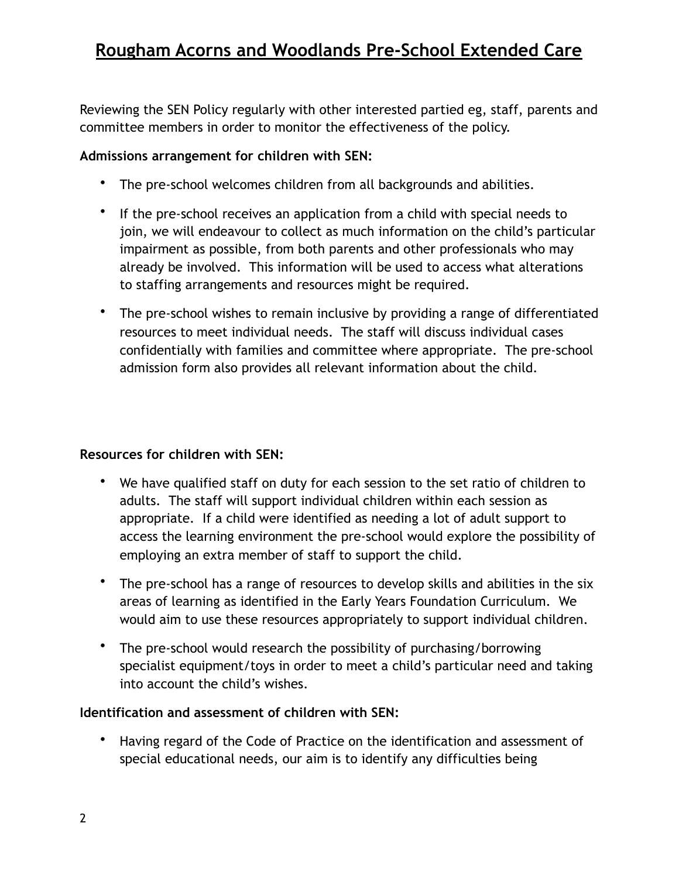Reviewing the SEN Policy regularly with other interested partied eg, staff, parents and committee members in order to monitor the effectiveness of the policy.

#### **Admissions arrangement for children with SEN:**

- The pre-school welcomes children from all backgrounds and abilities.
- If the pre-school receives an application from a child with special needs to join, we will endeavour to collect as much information on the child's particular impairment as possible, from both parents and other professionals who may already be involved. This information will be used to access what alterations to staffing arrangements and resources might be required.
- The pre-school wishes to remain inclusive by providing a range of differentiated resources to meet individual needs. The staff will discuss individual cases confidentially with families and committee where appropriate. The pre-school admission form also provides all relevant information about the child.

#### **Resources for children with SEN:**

- We have qualified staff on duty for each session to the set ratio of children to adults. The staff will support individual children within each session as appropriate. If a child were identified as needing a lot of adult support to access the learning environment the pre-school would explore the possibility of employing an extra member of staff to support the child.
- The pre-school has a range of resources to develop skills and abilities in the six areas of learning as identified in the Early Years Foundation Curriculum. We would aim to use these resources appropriately to support individual children.
- The pre-school would research the possibility of purchasing/borrowing specialist equipment/toys in order to meet a child's particular need and taking into account the child's wishes.

#### **Identification and assessment of children with SEN:**

• Having regard of the Code of Practice on the identification and assessment of special educational needs, our aim is to identify any difficulties being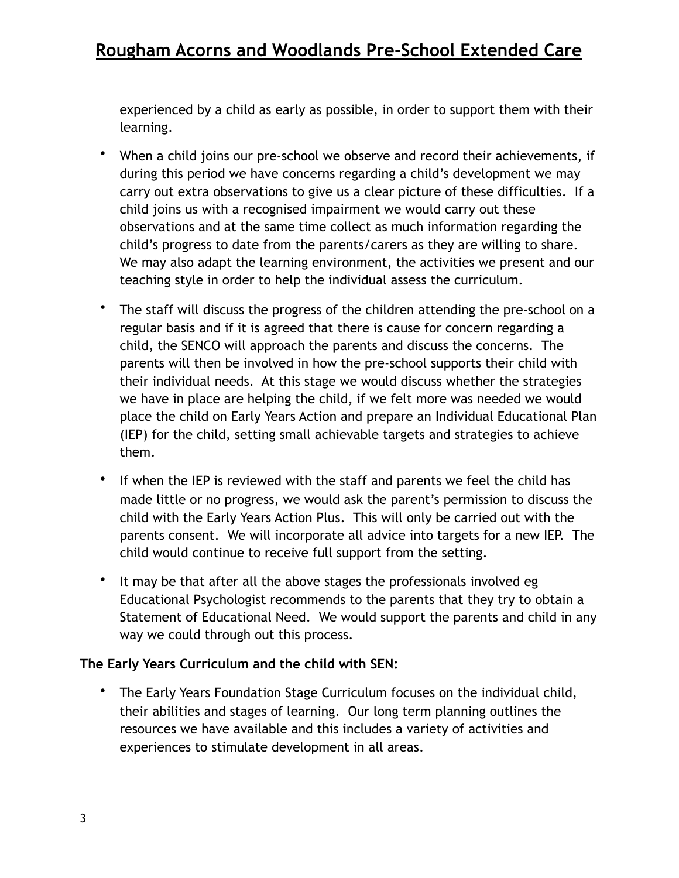experienced by a child as early as possible, in order to support them with their learning.

- When a child joins our pre-school we observe and record their achievements, if during this period we have concerns regarding a child's development we may carry out extra observations to give us a clear picture of these difficulties. If a child joins us with a recognised impairment we would carry out these observations and at the same time collect as much information regarding the child's progress to date from the parents/carers as they are willing to share. We may also adapt the learning environment, the activities we present and our teaching style in order to help the individual assess the curriculum.
- The staff will discuss the progress of the children attending the pre-school on a regular basis and if it is agreed that there is cause for concern regarding a child, the SENCO will approach the parents and discuss the concerns. The parents will then be involved in how the pre-school supports their child with their individual needs. At this stage we would discuss whether the strategies we have in place are helping the child, if we felt more was needed we would place the child on Early Years Action and prepare an Individual Educational Plan (IEP) for the child, setting small achievable targets and strategies to achieve them.
- If when the IEP is reviewed with the staff and parents we feel the child has made little or no progress, we would ask the parent's permission to discuss the child with the Early Years Action Plus. This will only be carried out with the parents consent. We will incorporate all advice into targets for a new IEP. The child would continue to receive full support from the setting.
- It may be that after all the above stages the professionals involved eg Educational Psychologist recommends to the parents that they try to obtain a Statement of Educational Need. We would support the parents and child in any way we could through out this process.

#### **The Early Years Curriculum and the child with SEN:**

• The Early Years Foundation Stage Curriculum focuses on the individual child, their abilities and stages of learning. Our long term planning outlines the resources we have available and this includes a variety of activities and experiences to stimulate development in all areas.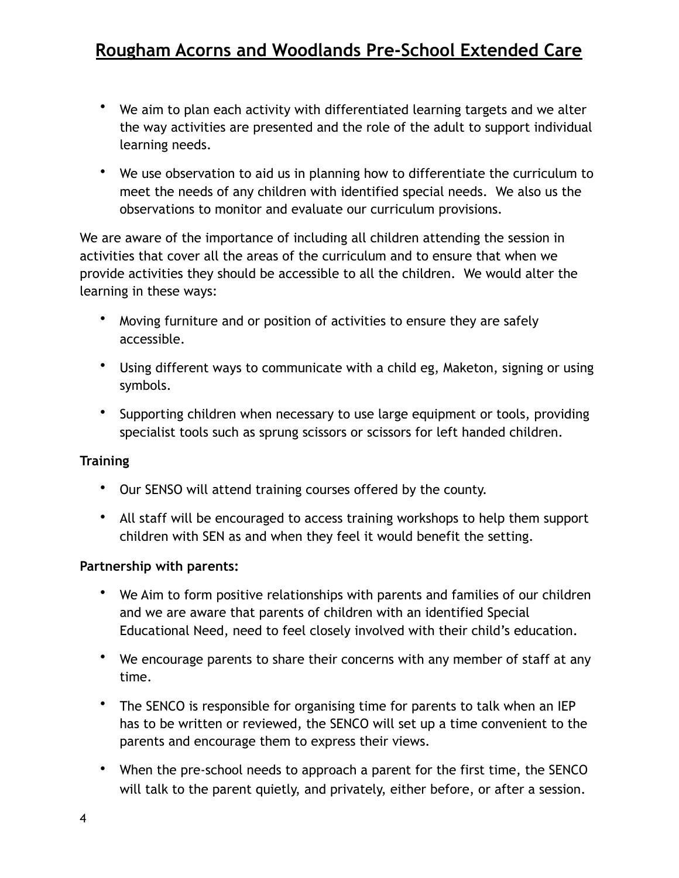- We aim to plan each activity with differentiated learning targets and we alter the way activities are presented and the role of the adult to support individual learning needs.
- We use observation to aid us in planning how to differentiate the curriculum to meet the needs of any children with identified special needs. We also us the observations to monitor and evaluate our curriculum provisions.

We are aware of the importance of including all children attending the session in activities that cover all the areas of the curriculum and to ensure that when we provide activities they should be accessible to all the children. We would alter the learning in these ways:

- Moving furniture and or position of activities to ensure they are safely accessible.
- Using different ways to communicate with a child eg, Maketon, signing or using symbols.
- Supporting children when necessary to use large equipment or tools, providing specialist tools such as sprung scissors or scissors for left handed children.

#### **Training**

- Our SENSO will attend training courses offered by the county.
- All staff will be encouraged to access training workshops to help them support children with SEN as and when they feel it would benefit the setting.

#### **Partnership with parents:**

- We Aim to form positive relationships with parents and families of our children and we are aware that parents of children with an identified Special Educational Need, need to feel closely involved with their child's education.
- We encourage parents to share their concerns with any member of staff at any time.
- The SENCO is responsible for organising time for parents to talk when an IEP has to be written or reviewed, the SENCO will set up a time convenient to the parents and encourage them to express their views.
- When the pre-school needs to approach a parent for the first time, the SENCO will talk to the parent quietly, and privately, either before, or after a session.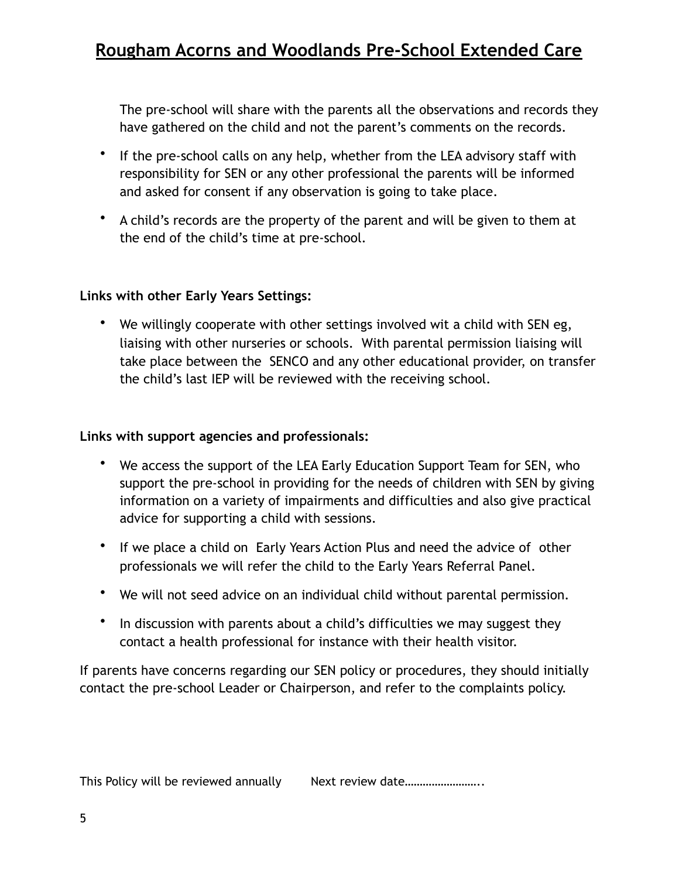The pre-school will share with the parents all the observations and records they have gathered on the child and not the parent's comments on the records.

- If the pre-school calls on any help, whether from the LEA advisory staff with responsibility for SEN or any other professional the parents will be informed and asked for consent if any observation is going to take place.
- A child's records are the property of the parent and will be given to them at the end of the child's time at pre-school.

### **Links with other Early Years Settings:**

• We willingly cooperate with other settings involved wit a child with SEN eg, liaising with other nurseries or schools. With parental permission liaising will take place between the SENCO and any other educational provider, on transfer the child's last IEP will be reviewed with the receiving school.

#### **Links with support agencies and professionals:**

- We access the support of the LEA Early Education Support Team for SEN, who support the pre-school in providing for the needs of children with SEN by giving information on a variety of impairments and difficulties and also give practical advice for supporting a child with sessions.
- If we place a child on Early Years Action Plus and need the advice of other professionals we will refer the child to the Early Years Referral Panel.
- We will not seed advice on an individual child without parental permission.
- In discussion with parents about a child's difficulties we may suggest they contact a health professional for instance with their health visitor.

If parents have concerns regarding our SEN policy or procedures, they should initially contact the pre-school Leader or Chairperson, and refer to the complaints policy.